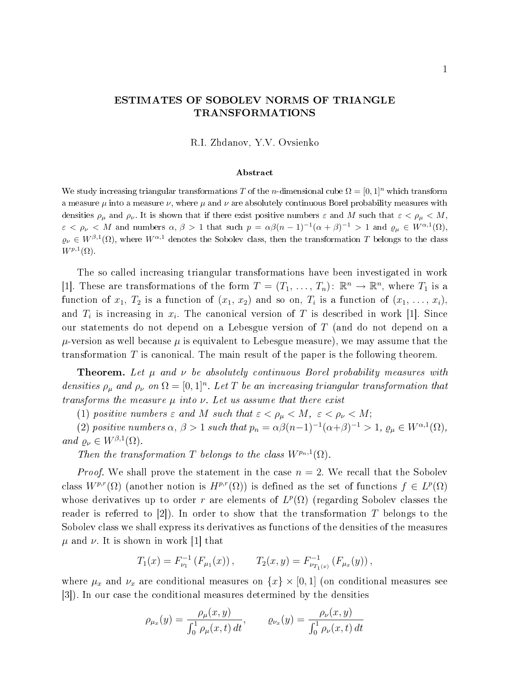## ESTIMATES OF SOBOLEV NORMS OF TRIANGLE TRANSFORMATIONS

R.I. Zhdanov, Y.V. Ovsienko

## Abstract

We study increasing triangular transformations T of the n-dimensional cube  $\Omega = [0, 1]^n$  which transform a measure  $\mu$  into a measure  $\nu$ , where  $\mu$  and  $\nu$  are absolutely continuous Borel probability measures with densities  $\rho_{\mu}$  and  $\rho_{\nu}$ . It is shown that if there exist positive numbers  $\varepsilon$  and M such that  $\varepsilon < \rho_{\mu} < M$ ,  $\varepsilon < \rho_{\nu} < M$  and numbers  $\alpha, \beta > 1$  that such  $p = \alpha \beta (n-1)^{-1} (\alpha + \beta)^{-1} > 1$  and  $\varrho_{\mu} \in W^{\alpha,1}(\Omega)$ ,  $\varrho_\nu \in W^{\beta,1}(\Omega)$ , where  $W^{\alpha,1}$  denotes the Sobolev class, then the transformation T belongs to the class  $W^{p,1}(\Omega)$ .

The so called increasing triangular transformations have been investigated in work [1]. These are transformations of the form  $T = (T_1, \ldots, T_n)$ :  $\mathbb{R}^n \to \mathbb{R}^n$ , where  $T_1$  is a function of  $x_1, T_2$  is a function of  $(x_1, x_2)$  and so on,  $T_i$  is a function of  $(x_1, \ldots, x_i)$ , and  $T_i$  is increasing in  $x_i$ . The canonical version of T is described in work [1]. Since our statements do not depend on a Lebesgue version of T (and do not depend on a  $\mu$ -version as well because  $\mu$  is equivalent to Lebesgue measure), we may assume that the transformation  $T$  is canonical. The main result of the paper is the following theorem.

**Theorem.** Let  $\mu$  and  $\nu$  be absolutely continuous Borel probability measures with densities  $\rho_{\mu}$  and  $\rho_{\nu}$  on  $\Omega = [0,1]^n$ . Let T be an increasing triangular transformation that transforms the measure  $\mu$  into  $\nu$ . Let us assume that there exist

(1) positive numbers  $\varepsilon$  and M such that  $\varepsilon < \rho_{\mu} < M$ ,  $\varepsilon < \rho_{\nu} < M$ ;

(2) positive numbers  $\alpha$ ,  $\beta > 1$  such that  $p_n = \alpha \beta (n-1)^{-1} (\alpha + \beta)^{-1} > 1$ ,  $\varrho_\mu \in W^{\alpha,1}(\Omega)$ , and  $\varrho_{\nu} \in W^{\beta,1}(\Omega)$ .

Then the transformation T belongs to the class  $W^{p_n,1}(\Omega)$ .

*Proof.* We shall prove the statement in the case  $n = 2$ . We recall that the Sobolev class  $W^{p,r}(\Omega)$  (another notion is  $H^{p,r}(\Omega)$ ) is defined as the set of functions  $f \in L^p(\Omega)$ whose derivatives up to order r are elements of  $L^p(\Omega)$  (regarding Sobolev classes the reader is referred to  $|2|$ ). In order to show that the transformation T belongs to the Sobolev class we shall express its derivatives as functions of the densities of the measures  $\mu$  and  $\nu$ . It is shown in work [1] that

$$
T_1(x) = F_{\nu_1}^{-1}(F_{\mu_1}(x)), \qquad T_2(x, y) = F_{\nu_{T_1(x)}}^{-1}(F_{\mu_x}(y)),
$$

where  $\mu_x$  and  $\nu_x$  are conditional measures on  $\{x\} \times [0,1]$  (on conditional measures see [3]). In our case the conditional measures determined by the densities

$$
\rho_{\mu_x}(y) = \frac{\rho_{\mu}(x, y)}{\int_0^1 \rho_{\mu}(x, t) dt}, \qquad \varrho_{\nu_x}(y) = \frac{\rho_{\nu}(x, y)}{\int_0^1 \rho_{\nu}(x, t) dt}
$$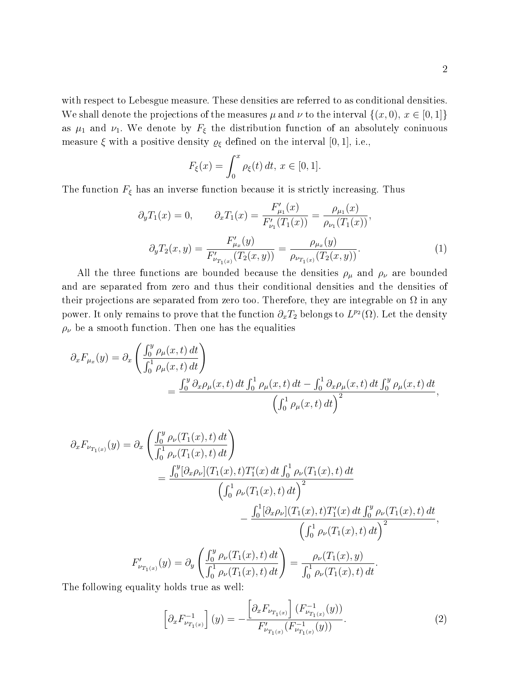with respect to Lebesgue measure. These densities are referred to as conditional densities. We shall denote the projections of the measures  $\mu$  and  $\nu$  to the interval  $\{(x,0), x \in [0,1]\}$ as  $\mu_1$  and  $\nu_1$ . We denote by  $F_{\xi}$  the distribution function of an absolutely coninuous measure  $\xi$  with a positive density  $\varrho_{\xi}$  defined on the interval [0, 1], i.e.,

$$
F_{\xi}(x) = \int_0^x \rho_{\xi}(t) dt, \, x \in [0, 1].
$$

The function  $F_{\xi}$  has an inverse function because it is strictly increasing. Thus

$$
\partial_y T_1(x) = 0, \qquad \partial_x T_1(x) = \frac{F'_{\mu_1}(x)}{F'_{\nu_1}(T_1(x))} = \frac{\rho_{\mu_1}(x)}{\rho_{\nu_1}(T_1(x))},
$$

$$
\partial_y T_2(x, y) = \frac{F'_{\mu_x}(y)}{F'_{\nu_{T_1(x)}}(T_2(x, y))} = \frac{\rho_{\mu_x}(y)}{\rho_{\nu_{T_1(x)}}(T_2(x, y))}.
$$
(1)

All the three functions are bounded because the densities  $\rho_{\mu}$  and  $\rho_{\nu}$  are bounded and are separated from zero and thus their conditional densities and the densities of their projections are separated from zero too. Therefore, they are integrable on  $\Omega$  in any power. It only remains to prove that the function  $\partial_x T_2$  belongs to  $L^{p_2}(\Omega)$ . Let the density  $\rho_{\nu}$  be a smooth function. Then one has the equalities

$$
\partial_x F_{\mu_x}(y) = \partial_x \left( \frac{\int_0^y \rho_\mu(x, t) dt}{\int_0^1 \rho_\mu(x, t) dt} \right)
$$
  
= 
$$
\frac{\int_0^y \partial_x \rho_\mu(x, t) dt \int_0^1 \rho_\mu(x, t) dt - \int_0^1 \partial_x \rho_\mu(x, t) dt \int_0^y \rho_\mu(x, t) dt}{(\int_0^1 \rho_\mu(x, t) dt)^2},
$$

$$
\partial_x F_{\nu_{T_1(x)}}(y) = \partial_x \left( \frac{\int_0^y \rho_\nu(T_1(x),t) dt}{\int_0^1 \rho_\nu(T_1(x),t) dt} \right)
$$
  
\n
$$
= \frac{\int_0^y [\partial_x \rho_\nu](T_1(x),t) T_1'(x) dt \int_0^1 \rho_\nu(T_1(x),t) dt}{\left(\int_0^1 \rho_\nu(T_1(x),t) dt\right)^2}
$$
  
\n
$$
- \frac{\int_0^1 [\partial_x \rho_\nu](T_1(x),t) T_1'(x) dt \int_0^y \rho_\nu(T_1(x),t) dt}{\left(\int_0^1 \rho_\nu(T_1(x),t) dt\right)^2},
$$
  
\n
$$
F'_{\nu_{T_1(x)}}(y) = \partial_y \left( \frac{\int_0^y \rho_\nu(T_1(x),t) dt}{\int_0^1 \rho_\nu(T_1(x),t) dt} \right) = \frac{\rho_\nu(T_1(x), y)}{\int_0^1 \rho_\nu(T_1(x),t) dt}.
$$

The following equality holds true as well:

$$
\[ \partial_x F_{\nu_{T_1(x)}}^{-1} \] (y) = -\frac{\left[ \partial_x F_{\nu_{T_1(x)}} \right] (F_{\nu_{T_1(x)}}^{-1}(y))}{F_{\nu_{T_1(x)}}'(F_{\nu_{T_1(x)}}^{-1}(y))} . \tag{2}
$$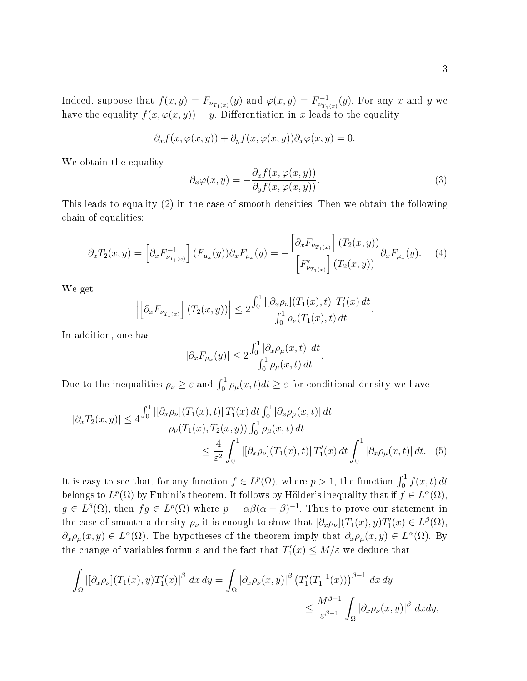Indeed, suppose that  $f(x,y) = F_{\nu_{T_1(x)}}(y)$  and  $\varphi(x,y) = F_{\nu_{T_1(x)}}^{-1}(y)$ . For any x and y we have the equality  $f(x, \varphi(x, y)) = y$ . Differentiation in x leads to the equality

$$
\partial_x f(x, \varphi(x, y)) + \partial_y f(x, \varphi(x, y)) \partial_x \varphi(x, y) = 0.
$$

We obtain the equality

$$
\partial_x \varphi(x, y) = -\frac{\partial_x f(x, \varphi(x, y))}{\partial_y f(x, \varphi(x, y))}.
$$
\n(3)

.

This leads to equality (2) in the case of smooth densities. Then we obtain the following chain of equalities:

$$
\partial_x T_2(x, y) = \left[ \partial_x F_{\nu_{T_1(x)}}^{-1} \right] (F_{\mu_x}(y)) \partial_x F_{\mu_x}(y) = -\frac{\left[ \partial_x F_{\nu_{T_1(x)}} \right] (T_2(x, y))}{\left[ F_{\nu_{T_1(x)}}' \right] (T_2(x, y))} \partial_x F_{\mu_x}(y). \tag{4}
$$

We get

$$
\left| \left[ \partial_x F_{\nu_{T_1(x)}} \right] (T_2(x, y)) \right| \leq 2 \frac{\int_0^1 \left| [\partial_x \rho_\nu](T_1(x), t) \right| T_1'(x) dt}{\int_0^1 \rho_\nu(T_1(x), t) dt}
$$

In addition, one has

$$
|\partial_x F_{\mu_x}(y)| \le 2 \frac{\int_0^1 |\partial_x \rho_\mu(x,t)| \, dt}{\int_0^1 \rho_\mu(x,t) \, dt}.
$$

Due to the inequalities  $\rho_\nu \geq \varepsilon$  and  $\int_0^1 \rho_\mu(x,t) dt \geq \varepsilon$  for conditional density we have

$$
|\partial_x T_2(x, y)| \le 4 \frac{\int_0^1 |[\partial_x \rho_\nu](T_1(x), t)| T_1'(x) dt \int_0^1 |\partial_x \rho_\mu(x, t)| dt}{\rho_\nu(T_1(x), T_2(x, y)) \int_0^1 \rho_\mu(x, t) dt}
$$
  

$$
\le \frac{4}{\varepsilon^2} \int_0^1 |[\partial_x \rho_\nu](T_1(x), t)| T_1'(x) dt \int_0^1 |\partial_x \rho_\mu(x, t)| dt. \quad (5)
$$

It is easy to see that, for any function  $f \in L^p(\Omega)$ , where  $p > 1$ , the function  $\int_0^1 f(x, t) dt$ belongs to  $L^p(\Omega)$  by Fubini's theorem. It follows by Hölder's inequality that if  $f \in L^{\alpha}(\Omega)$ ,  $g \in L^{\beta}(\Omega)$ , then  $fg \in L^p(\Omega)$  where  $p = \alpha \beta(\alpha + \beta)^{-1}$ . Thus to prove our statement in the case of smooth a density  $\rho_{\nu}$  it is enough to show that  $[\partial_x \rho_{\nu}](T_1(x), y)T'_1(x) \in L^{\beta}(\Omega)$ ,  $\partial_x \rho_\mu(x,y) \in L^{\alpha}(\Omega)$ . The hypotheses of the theorem imply that  $\partial_x \rho_\mu(x,y) \in L^{\alpha}(\Omega)$ . By the change of variables formula and the fact that  $T_1'(x) \le M/\varepsilon$  we deduce that

$$
\int_{\Omega} |[\partial_x \rho_{\nu}] (T_1(x), y) T_1'(x)|^{\beta} dx dy = \int_{\Omega} |\partial_x \rho_{\nu}(x, y)|^{\beta} (T_1'(T_1^{-1}(x)))^{\beta - 1} dx dy
$$
  

$$
\leq \frac{M^{\beta - 1}}{\varepsilon^{\beta - 1}} \int_{\Omega} |\partial_x \rho_{\nu}(x, y)|^{\beta} dx dy,
$$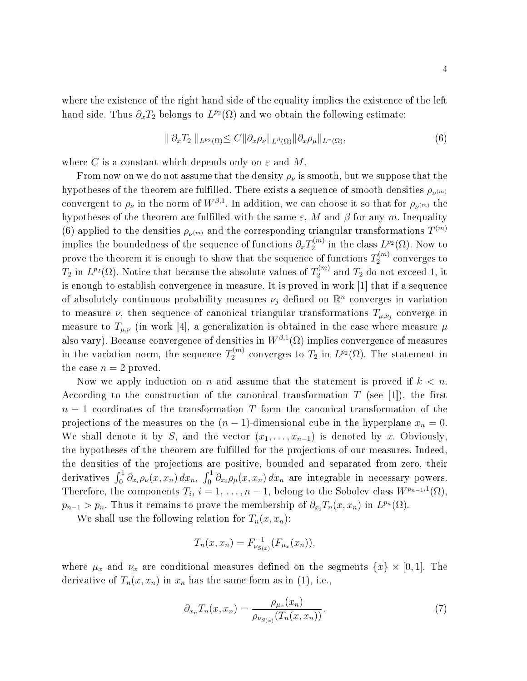where the existence of the right hand side of the equality implies the existence of the left hand side. Thus  $\partial_x T_2$  belongs to  $L^{p_2}(\Omega)$  and we obtain the following estimate:

$$
\| \partial_x T_2 \|_{L^{p_2}(\Omega)} \le C \| \partial_x \rho_\nu \|_{L^\beta(\Omega)} \| \partial_x \rho_\mu \|_{L^\alpha(\Omega)}, \tag{6}
$$

where C is a constant which depends only on  $\varepsilon$  and M.

From now on we do not assume that the density  $\rho_{\nu}$  is smooth, but we suppose that the hypotheses of the theorem are fulfilled. There exists a sequence of smooth densities  $\rho_{\nu^{(m)}}$ convergent to  $\rho_\nu$  in the norm of  $W^{\beta,1}.$  In addition, we can choose it so that for  $\rho_{\nu^{(m)}}$  the hypotheses of the theorem are fulfilled with the same  $\varepsilon$ , M and  $\beta$  for any m. Inequality (6) applied to the densities  $\rho_{\nu^{(m)}}$  and the corresponding triangular transformations  $T^{(m)}$ implies the boundedness of the sequence of functions  $\partial_x T_2^{(m)}$  $u_2^{(m)}$  in the class  $L^{p_2}(\Omega)$ . Now to prove the theorem it is enough to show that the sequence of functions  $T_2^{(m)}$  $2^{(m)}$  converges to  $T_2$  in  $L^{p_2}(\Omega)$ . Notice that because the absolute values of  $T_2^{(m)}$  $x_2^{(m)}$  and  $T_2$  do not exceed 1, it is enough to establish convergence in measure. It is proved in work [1] that if a sequence of absolutely continuous probability measures  $\nu_j$  defined on  $\mathbb{R}^n$  converges in variation to measure  $\nu$ , then sequence of canonical triangular transformations  $T_{\mu,\nu_j}$  converge in measure to  $T_{\mu,\nu}$  (in work [4], a generalization is obtained in the case where measure  $\mu$ also vary). Because convergence of densities in  $W^{\beta,1}(\Omega)$  implies convergence of measures in the variation norm, the sequence  $T_2^{(m)}$  $L_2^{(m)}$  converges to  $T_2$  in  $L^{p_2}(\Omega)$ . The statement in the case  $n = 2$  proved.

Now we apply induction on n and assume that the statement is proved if  $k < n$ . According to the construction of the canonical transformation  $T$  (see [1]), the first  $n-1$  coordinates of the transformation T form the canonical transformation of the projections of the measures on the  $(n - 1)$ -dimensional cube in the hyperplane  $x_n = 0$ . We shall denote it by S, and the vector  $(x_1, \ldots, x_{n-1})$  is denoted by x. Obviously, the hypotheses of the theorem are fulfilled for the projections of our measures. Indeed, the densities of the projections are positive, bounded and separated from zero, their derivatives  $\int_0^1 \partial_{x_i} \rho_\nu(x, x_n) dx_n$ ,  $\int_0^1 \partial_{x_i} \rho_\mu(x, x_n) dx_n$  are integrable in necessary powers. Therefore, the components  $T_i$ ,  $i = 1, \ldots, n - 1$ , belong to the Sobolev class  $W^{p_{n-1},1}(\Omega)$ ,  $p_{n-1} > p_n$ . Thus it remains to prove the membership of  $\partial_{x_i} T_n(x, x_n)$  in  $L^{p_n}(\Omega)$ .

We shall use the following relation for  $T_n(x, x_n)$ :

$$
T_n(x, x_n) = F_{\nu_{S(x)}}^{-1}(F_{\mu_x}(x_n)),
$$

where  $\mu_x$  and  $\nu_x$  are conditional measures defined on the segments  $\{x\} \times [0,1]$ . The derivative of  $T_n(x, x_n)$  in  $x_n$  has the same form as in (1), i.e.,

$$
\partial_{x_n} T_n(x, x_n) = \frac{\rho_{\mu_x}(x_n)}{\rho_{\nu_{S(x)}}(T_n(x, x_n))}.
$$
\n<sup>(7)</sup>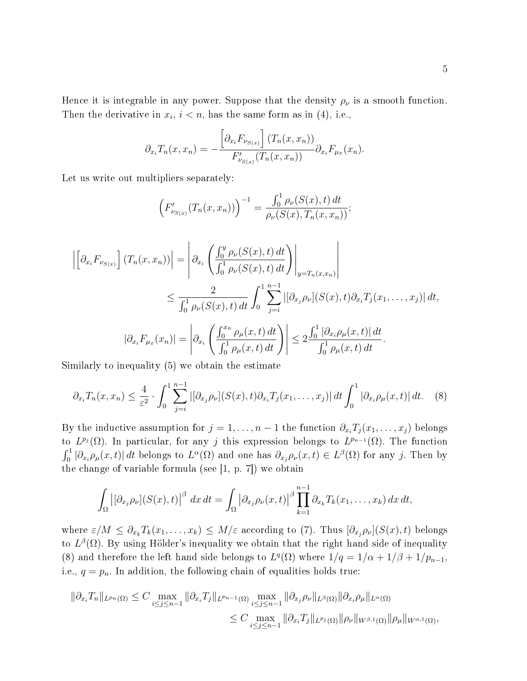Hence it is integrable in any power. Suppose that the density  $\rho_{\nu}$  is a smooth function. Then the derivative in  $x_i$ ,  $i < n$ , has the same form as in (4), i.e.,

$$
\partial_{x_i} T_n(x, x_n) = -\frac{\left[\partial_{x_i} F_{\nu_{S(x)}}\right](T_n(x, x_n))}{F'_{\nu_{S(x)}}(T_n(x, x_n))} \partial_{x_i} F_{\mu_x}(x_n).
$$

Let us write out multipliers separately:

$$
\left(F'_{\nu_{S(x)}}(T_n(x,x_n))\right)^{-1} = \frac{\int_0^1 \rho_{\nu}(S(x),t) dt}{\rho_{\nu}(S(x),T_n(x,x_n))};
$$

$$
\left| \left[ \partial_{x_i} F_{\nu_{S(x)}} \right] (T_n(x, x_n)) \right| = \left| \partial_{x_i} \left( \frac{\int_0^y \rho_{\nu}(S(x), t) dt}{\int_0^1 \rho_{\nu}(S(x), t) dt} \right) \right|_{y = T_n(x, x_n)} \right|
$$
  
\n
$$
\leq \frac{2}{\int_0^1 \rho_{\nu}(S(x), t) dt} \int_0^1 \sum_{j=i}^{n-1} \left| \left[ \partial_{x_j} \rho_{\nu} \right] (S(x), t) \partial_{x_i} T_j(x_1, \dots, x_j) \right| dt,
$$
  
\n
$$
\left| \partial_{x_i} F_{\mu_x}(x_n) \right| = \left| \partial_{x_i} \left( \frac{\int_0^{x_n} \rho_{\mu}(x, t) dt}{\int_0^1 \rho_{\mu}(x, t) dt} \right) \right| \leq 2 \frac{\int_0^1 \left| \partial_{x_i} \rho_{\mu}(x, t) \right| dt}{\int_0^1 \rho_{\mu}(x, t) dt}.
$$

Similarly to inequality (5) we obtain the estimate

$$
\partial_{x_i} T_n(x, x_n) \leq \frac{4}{\varepsilon^2} \cdot \int_0^1 \sum_{j=i}^{n-1} |[\partial_{x_j} \rho_\nu](S(x), t) \partial_{x_i} T_j(x_1, \dots, x_j)| dt \int_0^1 |\partial_{x_i} \rho_\mu(x, t)| dt. \tag{8}
$$

By the inductive assumption for  $j = 1, \ldots, n - 1$  the function  $\partial_{x_i} T_j(x_1, \ldots, x_j)$  belongs to  $L^{p_j}(\Omega)$ . In particular, for any j this expression belongs to  $L^{p_{n-1}}(\Omega)$ . The function  $\int_0^1 |\partial_{x_i} \rho_\mu(x,t)| dt$  belongs to  $L^{\alpha}(\Omega)$  and one has  $\partial_{x_j} \rho_\nu(x,t) \in L^{\beta}(\Omega)$  for any j. Then by the change of variable formula (see [1, p. 7]) we obtain

$$
\int_{\Omega} |[\partial_{x_j} \rho_{\nu}](S(x),t)|^{\beta} dx dt = \int_{\Omega} |\partial_{x_j} \rho_{\nu}(x,t)|^{\beta} \prod_{k=1}^{n-1} \partial_{x_k} T_k(x_1,\ldots,x_k) dx dt,
$$

where  $\varepsilon/M \leq \partial_{x_k} T_k(x_1,\ldots,x_k) \leq M/\varepsilon$  according to (7). Thus  $[\partial_{x_i} \rho_\nu](S(x),t)$  belongs to  $L^{\beta}(\Omega)$ . By using Hölder's inequality we obtain that the right hand side of inequality (8) and therefore the left hand side belongs to  $L^q(\Omega)$  where  $1/q = 1/\alpha + 1/\beta + 1/p_{n-1}$ , i.e.,  $q = p_n$ . In addition, the following chain of equalities holds true:

$$
\|\partial_{x_i}T_n\|_{L^{p_n}(\Omega)} \leq C \max_{i \leq j \leq n-1} \|\partial_{x_i}T_j\|_{L^{p_{n-1}}(\Omega)} \max_{i \leq j \leq n-1} \|\partial_{x_j}\rho_{\nu}\|_{L^{\beta}(\Omega)} \|\partial_{x_i}\rho_{\mu}\|_{L^{\alpha}(\Omega)}
$$
  

$$
\leq C \max_{i \leq j \leq n-1} \|\partial_{x_i}T_j\|_{L^{p_j}(\Omega)} \|\rho_{\nu}\|_{W^{\beta,1}(\Omega)} \|\rho_{\mu}\|_{W^{\alpha,1}(\Omega)},
$$